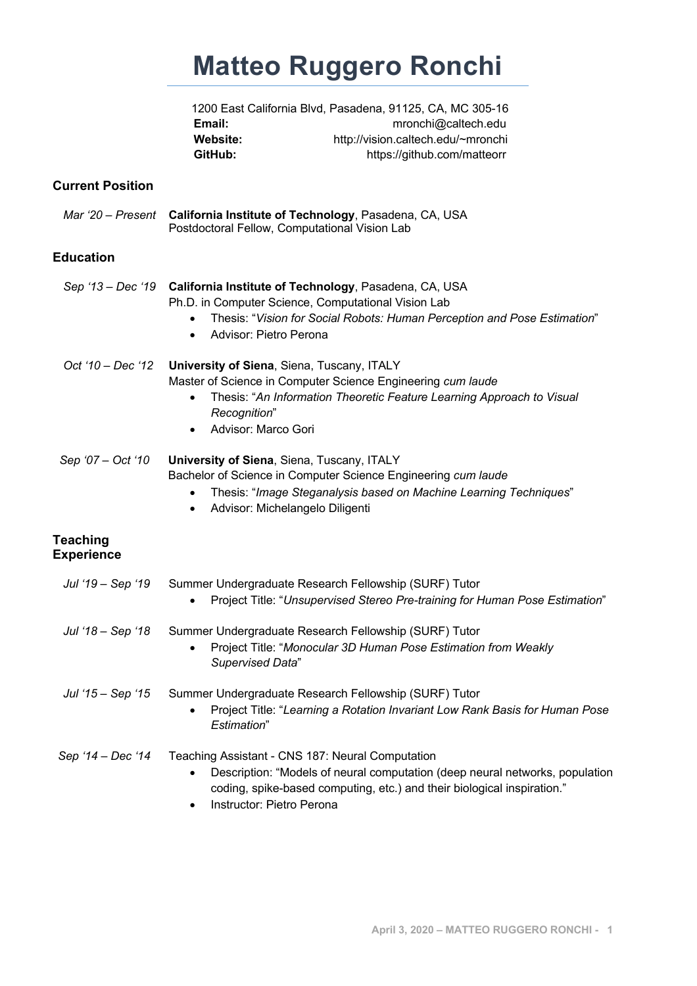# **Matteo Ruggero Ronchi**

|                 | 1200 East California Blvd, Pasadena, 91125, CA, MC 305-16 |
|-----------------|-----------------------------------------------------------|
| Email:          | mronchi@caltech.edu                                       |
| <b>Website:</b> | http://vision.caltech.edu/~mronchi                        |
| GitHub:         | https://github.com/matteorr                               |
|                 |                                                           |

## **Current Position**

*Mar '20 – Present* **California Institute of Technology**, Pasadena, CA, USA Postdoctoral Fellow, Computational Vision Lab

# **Education**

|                                      | Sep '13 - Dec '19 California Institute of Technology, Pasadena, CA, USA<br>Ph.D. in Computer Science, Computational Vision Lab<br>Thesis: "Vision for Social Robots: Human Perception and Pose Estimation"<br>$\bullet$<br>Advisor: Pietro Perona<br>$\bullet$     |
|--------------------------------------|--------------------------------------------------------------------------------------------------------------------------------------------------------------------------------------------------------------------------------------------------------------------|
| Oct '10 - Dec '12                    | University of Siena, Siena, Tuscany, ITALY<br>Master of Science in Computer Science Engineering cum laude<br>Thesis: "An Information Theoretic Feature Learning Approach to Visual<br>Recognition"<br>Advisor: Marco Gori<br>$\bullet$                             |
| Sep '07 - Oct '10                    | University of Siena, Siena, Tuscany, ITALY<br>Bachelor of Science in Computer Science Engineering cum laude<br>Thesis: "Image Steganalysis based on Machine Learning Techniques"<br>$\bullet$<br>Advisor: Michelangelo Diligenti<br>$\bullet$                      |
| <b>Teaching</b><br><b>Experience</b> |                                                                                                                                                                                                                                                                    |
| Jul '19 – Sep '19                    | Summer Undergraduate Research Fellowship (SURF) Tutor<br>Project Title: "Unsupervised Stereo Pre-training for Human Pose Estimation"                                                                                                                               |
| Jul '18 - Sep '18                    | Summer Undergraduate Research Fellowship (SURF) Tutor<br>Project Title: "Monocular 3D Human Pose Estimation from Weakly<br>$\bullet$<br>Supervised Data"                                                                                                           |
| Jul '15 - Sep '15                    | Summer Undergraduate Research Fellowship (SURF) Tutor<br>Project Title: "Learning a Rotation Invariant Low Rank Basis for Human Pose<br>Estimation"                                                                                                                |
| Sep '14 - Dec '14                    | Teaching Assistant - CNS 187: Neural Computation<br>Description: "Models of neural computation (deep neural networks, population<br>$\bullet$<br>coding, spike-based computing, etc.) and their biological inspiration."<br>Instructor: Pietro Perona<br>$\bullet$ |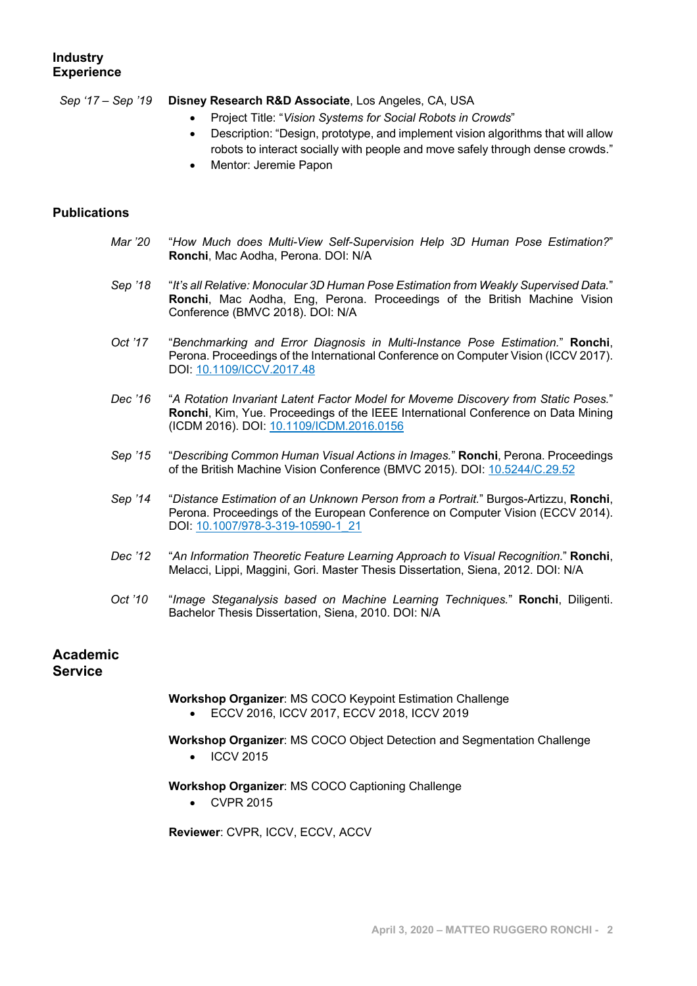#### **Industry Experience**

#### *Sep '17 – Sep '19* **Disney Research R&D Associate**, Los Angeles, CA, USA

- Project Title: "*Vision Systems for Social Robots in Crowds*"
- Description: "Design, prototype, and implement vision algorithms that will allow robots to interact socially with people and move safely through dense crowds."
- Mentor: Jeremie Papon

#### **Publications**

- *Mar '20* "*How Much does Multi-View Self-Supervision Help 3D Human Pose Estimation?*" **Ronchi**, Mac Aodha, Perona. DOI: N/A
- *Sep '18* "*It's all Relative: Monocular 3D Human Pose Estimation from Weakly Supervised Data.*" **Ronchi**, Mac Aodha, Eng, Perona. Proceedings of the British Machine Vision Conference (BMVC 2018). DOI: N/A
- *Oct '17* "*Benchmarking and Error Diagnosis in Multi-Instance Pose Estimation.*" **Ronchi**, Perona. Proceedings of the International Conference on Computer Vision (ICCV 2017). DOI: 10.1109/ICCV.2017.48
- *Dec '16* "*A Rotation Invariant Latent Factor Model for Moveme Discovery from Static Poses.*" **Ronchi**, Kim, Yue. Proceedings of the IEEE International Conference on Data Mining (ICDM 2016). DOI: 10.1109/ICDM.2016.0156
- *Sep '15* "*Describing Common Human Visual Actions in Images.*" **Ronchi**, Perona. Proceedings of the British Machine Vision Conference (BMVC 2015). DOI: 10.5244/C.29.52
- *Sep '14* "*Distance Estimation of an Unknown Person from a Portrait.*" Burgos-Artizzu, **Ronchi**, Perona. Proceedings of the European Conference on Computer Vision (ECCV 2014). DOI: 10.1007/978-3-319-10590-1\_21
- *Dec '12* "*An Information Theoretic Feature Learning Approach to Visual Recognition.*" **Ronchi**, Melacci, Lippi, Maggini, Gori. Master Thesis Dissertation, Siena, 2012. DOI: N/A
- *Oct '10* "*Image Steganalysis based on Machine Learning Techniques.*" **Ronchi**, Diligenti. Bachelor Thesis Dissertation, Siena, 2010. DOI: N/A

# **Academic**

#### **Service**

# **Workshop Organizer**: MS COCO Keypoint Estimation Challenge

• ECCV 2016, ICCV 2017, ECCV 2018, ICCV 2019

#### **Workshop Organizer**: MS COCO Object Detection and Segmentation Challenge

• ICCV 2015

#### **Workshop Organizer**: MS COCO Captioning Challenge

• CVPR 2015

**Reviewer**: CVPR, ICCV, ECCV, ACCV